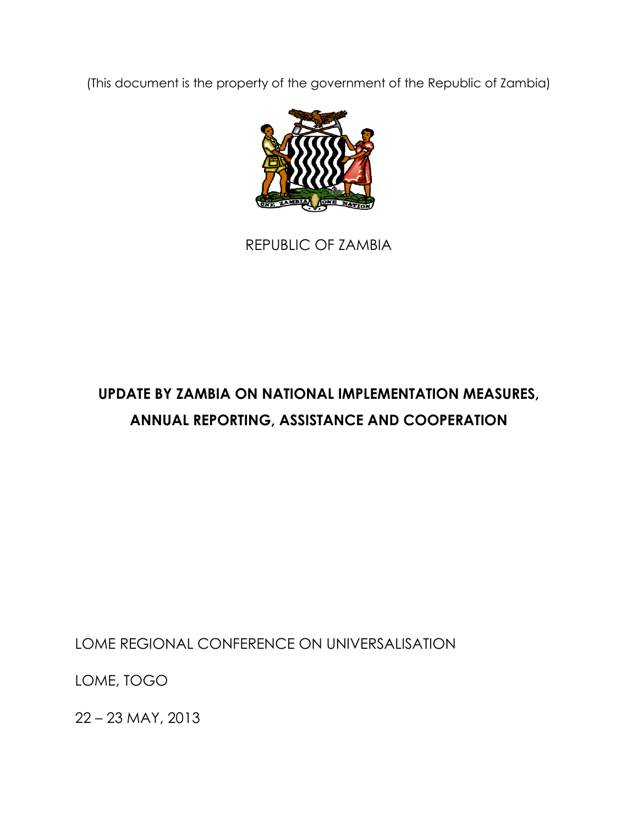(This document is the property of the government of the Republic of Zambia)



REPUBLIC OF ZAMBIA

## **UPDATE BY ZAMBIA ON NATIONAL IMPLEMENTATION MEASURES, ANNUAL REPORTING, ASSISTANCE AND COOPERATION**

LOME REGIONAL CONFERENCE ON UNIVERSALISATION

LOME, TOGO

22 – 23 MAY, 2013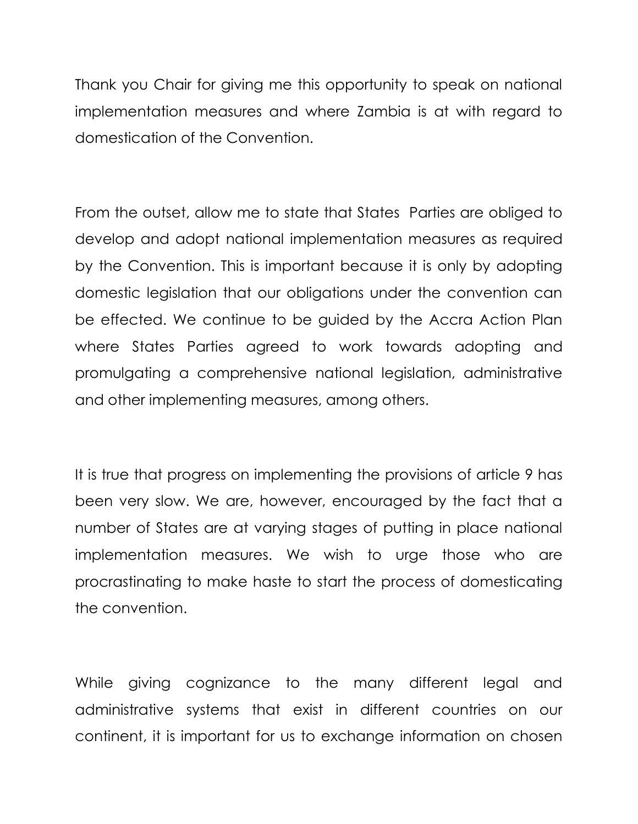Thank you Chair for giving me this opportunity to speak on national implementation measures and where Zambia is at with regard to domestication of the Convention.

From the outset, allow me to state that States Parties are obliged to develop and adopt national implementation measures as required by the Convention. This is important because it is only by adopting domestic legislation that our obligations under the convention can be effected. We continue to be guided by the Accra Action Plan where States Parties agreed to work towards adopting and promulgating a comprehensive national legislation, administrative and other implementing measures, among others.

It is true that progress on implementing the provisions of article 9 has been very slow. We are, however, encouraged by the fact that a number of States are at varying stages of putting in place national implementation measures. We wish to urge those who are procrastinating to make haste to start the process of domesticating the convention.

While giving cognizance to the many different legal and administrative systems that exist in different countries on our continent, it is important for us to exchange information on chosen